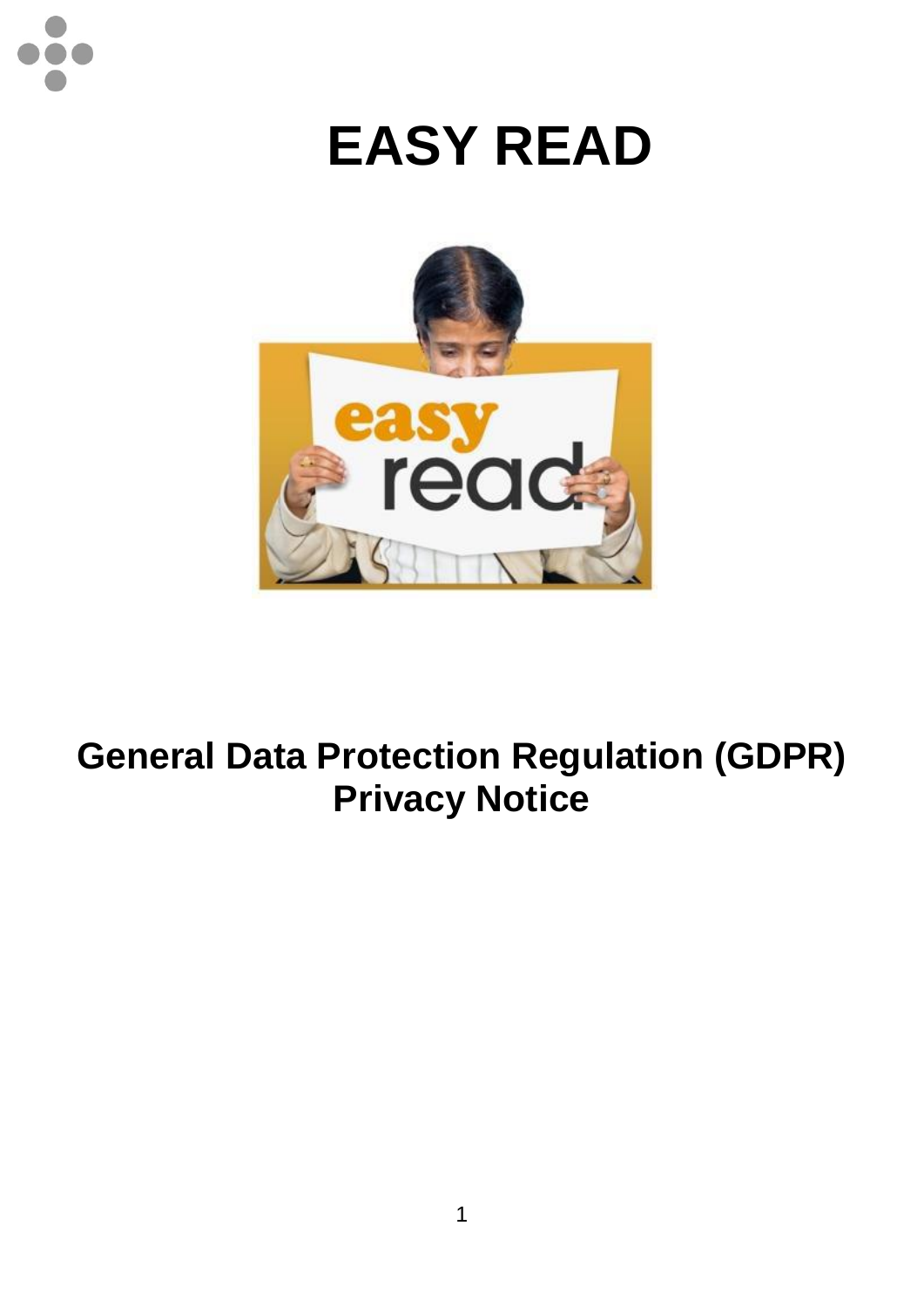

## **EASY READ**



## **General Data Protection Regulation (GDPR) Privacy Notice**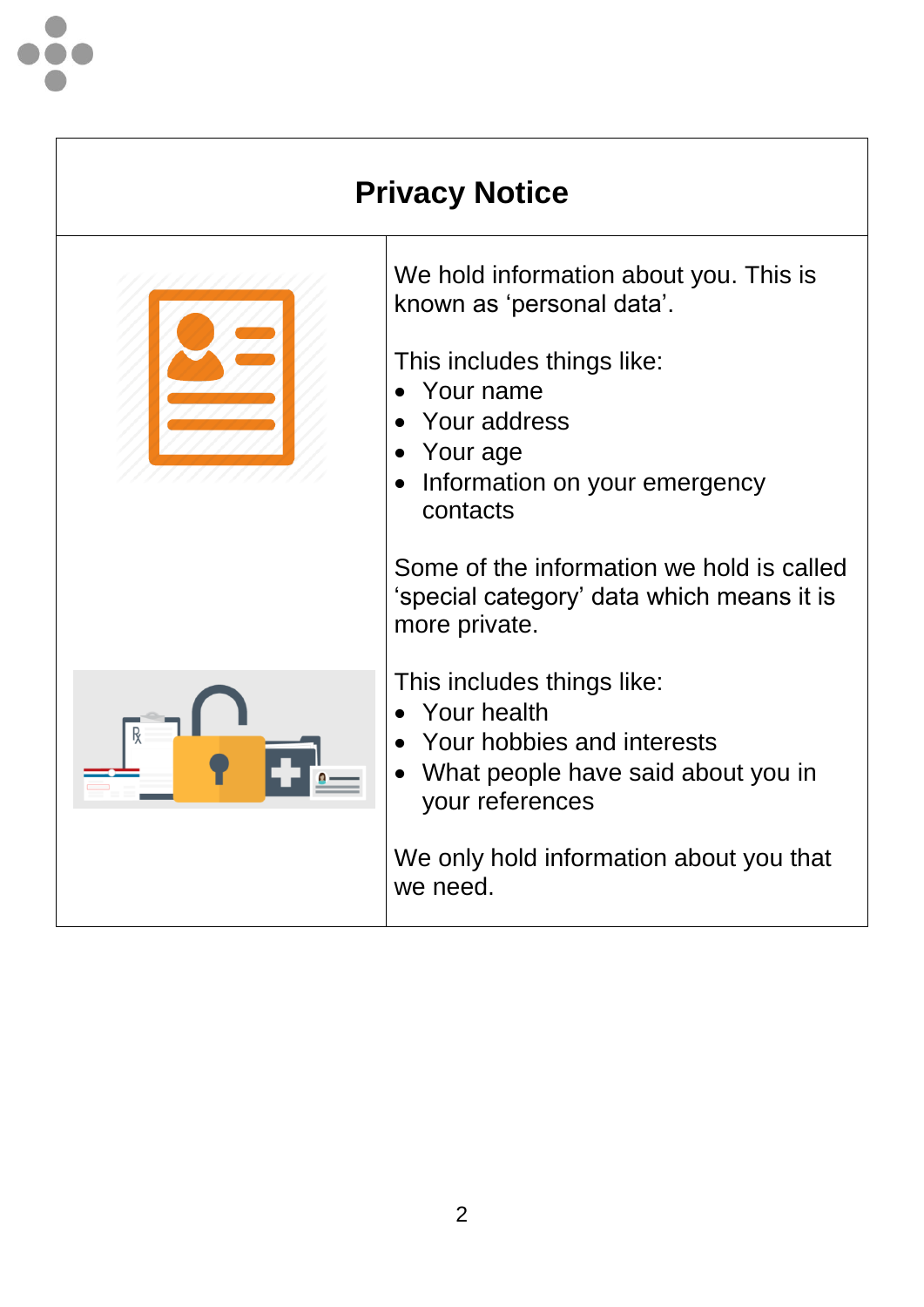

## **Privacy Notice**



We hold information about you. This is known as 'personal data'.

This includes things like:

- Your name
- Your address
- Your age
- Information on your emergency contacts

Some of the information we hold is called 'special category' data which means it is more private.

This includes things like:

- Your health
- Your hobbies and interests
- What people have said about you in your references

We only hold information about you that we need.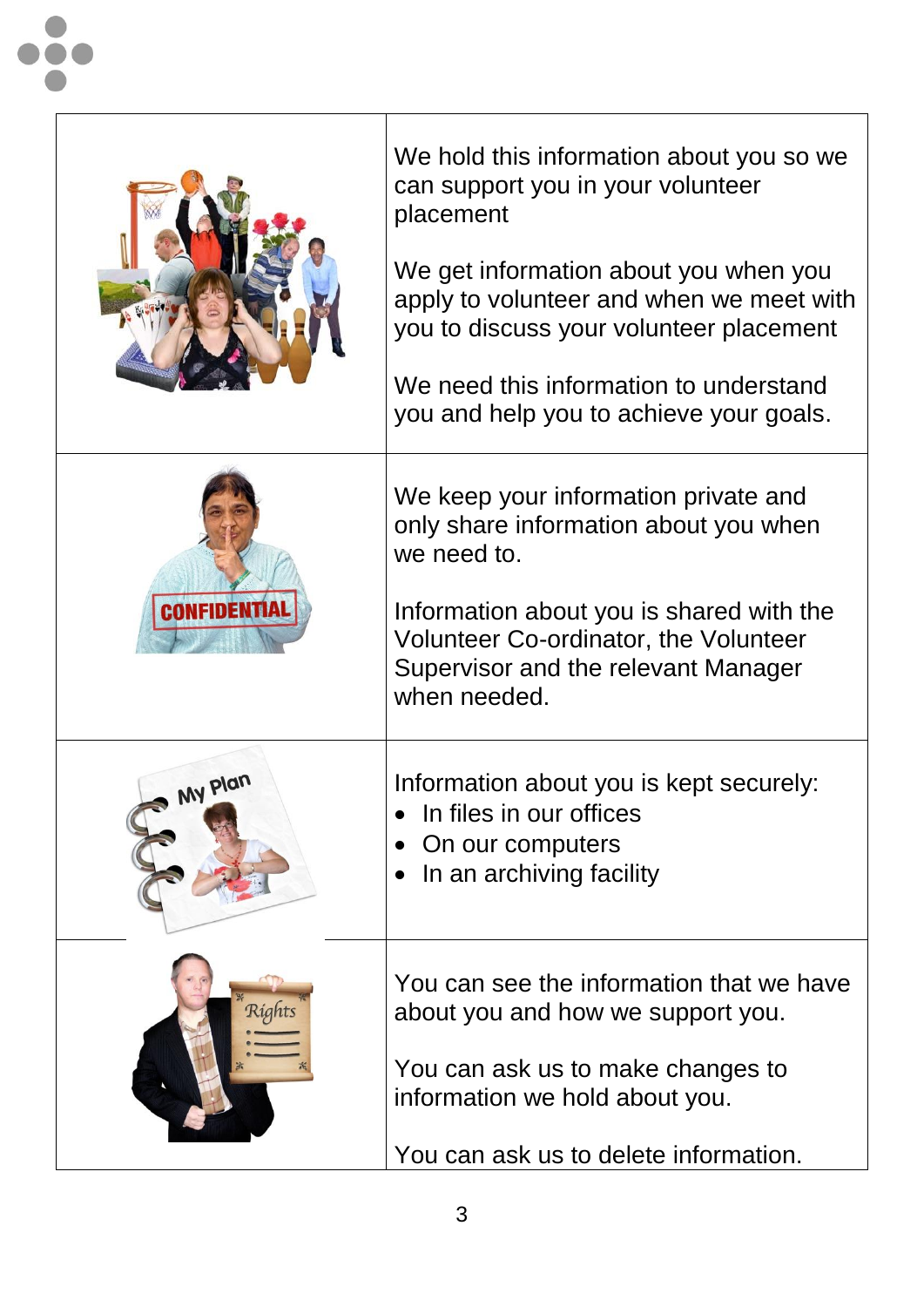|              | We hold this information about you so we<br>can support you in your volunteer<br>placement<br>We get information about you when you<br>apply to volunteer and when we meet with<br>you to discuss your volunteer placement<br>We need this information to understand<br>you and help you to achieve your goals. |
|--------------|-----------------------------------------------------------------------------------------------------------------------------------------------------------------------------------------------------------------------------------------------------------------------------------------------------------------|
| CONFIDENTIAL | We keep your information private and<br>only share information about you when<br>we need to.<br>Information about you is shared with the<br><b>Volunteer Co-ordinator, the Volunteer</b><br>Supervisor and the relevant Manager<br>when needed                                                                  |
| My Plan      | Information about you is kept securely:<br>In files in our offices<br>On our computers<br>In an archiving facility                                                                                                                                                                                              |
| Rígh         | You can see the information that we have<br>about you and how we support you.<br>You can ask us to make changes to<br>information we hold about you.<br>You can ask us to delete information.                                                                                                                   |